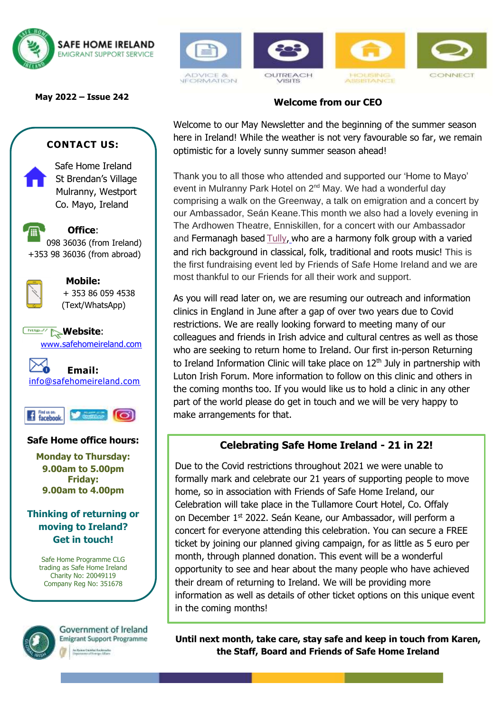

**May 2022 – Issue 242**

## **CONTACT US:**

 Safe Home Ireland St Brendan's Village Mulranny, Westport Co. Mayo, Ireland

**Office**: 098 36036 (from Ireland) +353 98 36036 (from abroad)



**Mobile:** + 353 86 059 4538 (Text/WhatsApp)

**Website:** [www.safehomeireland.com](http://www.safehomeireland.com/)





#### **Safe Home office hours:**

**Monday to Thursday: 9.00am to 5.00pm Friday: 9.00am to 4.00pm**

### **Thinking of returning or moving to Ireland? Get in touch!**

Safe Home Programme CLG trading as Safe Home Ireland Charity No: 20049119 Company Reg No: 351678



Government of Ireland **Emigrant Support Programme** 



ie Ceikhal fierkreefie







CONNECT



Welcome to our May Newsletter and the beginning of the summer season here in Ireland! While the weather is not very favourable so far, we remain optimistic for a lovely sunny summer season ahead!

 our Ambassador, Seán Keane.This month we also had a lovely evening in Thank you to all those who attended and supported our 'Home to Mayo' event in Mulranny Park Hotel on 2<sup>nd</sup> May. We had a wonderful day comprising a walk on the Greenway, a talk on emigration and a concert by The Ardhowen Theatre, Enniskillen, for a concert with our Ambassador and Fermanagh based [Tully,](http://www.musicbytully.co.uk/?fbclid=IwAR35pCaGKDpl9s9UlZs5OpxPIaZwXI6-0-KiT1s6HNE2v8-jhd7GhzRzDCM) who are a harmony folk group with a varied and rich background in classical, folk, traditional and roots music! This is the first fundraising event led by Friends of Safe Home Ireland and we are most thankful to our Friends for all their work and support.

As you will read later on, we are resuming our outreach and information clinics in England in June after a gap of over two years due to Covid restrictions. We are really looking forward to meeting many of our colleagues and friends in Irish advice and cultural centres as well as those who are seeking to return home to Ireland. Our first in-person Returning to Ireland Information Clinic will take place on  $12<sup>th</sup>$  July in partnership with Luton Irish Forum. More information to follow on this clinic and others in the coming months too. If you would like us to hold a clinic in any other part of the world please do get in touch and we will be very happy to make arrangements for that.

# **Celebrating Safe Home Ireland - 21 in 22!**

Due to the Covid restrictions throughout 2021 we were unable to formally mark and celebrate our 21 years of supporting people to move home, so in association with Friends of Safe Home Ireland, our Celebration will take place in the Tullamore Court Hotel, Co. Offaly on December 1st 2022. Seán Keane, our Ambassador, will perform a concert for everyone attending this celebration. You can secure a FREE ticket by joining our planned giving campaign, for as little as 5 euro per month, through planned donation. This event will be a wonderful opportunity to see and hear about the many people who have achieved their dream of returning to Ireland. We will be providing more information as well as details of other ticket options on this unique event in the coming months!

**Until next month, take care, stay safe and keep in touch from Karen, the Staff, Board and Friends of Safe Home Ireland**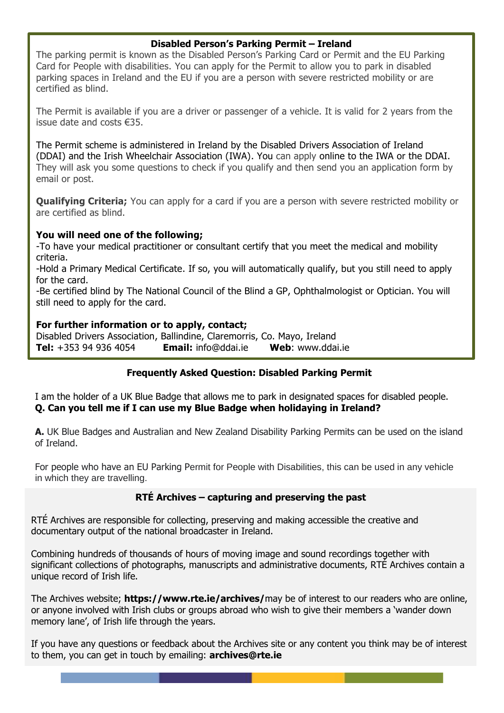#### **Disabled Person's Parking Permit – Ireland**

The parking permit is known as the Disabled Person's Parking Card or Permit and the EU Parking Card for People with disabilities. You can apply for the Permit to allow you to park in disabled parking spaces in Ireland and the EU if you are a person with severe restricted mobility or are certified as blind.

The Permit is available if you are a driver or passenger of a vehicle. It is valid for 2 years from the issue date and costs €35.

The Permit scheme is administered in Ireland by the [Disabled Drivers Association of Ireland](https://www.ddai.ie/parking-permit)  [\(DDAI\)](https://www.ddai.ie/parking-permit) and the [Irish Wheelchair Association \(IWA\).](https://www.iwa.ie/services/motoring/disabled-parking-permits/) You can apply [online to the IWA](https://www.iwa.ie/services/motoring/disabled-parking-permits/) or the [DDAI.](https://www.ddai.ie/eligibilitywizard?utm_campaign=eligibilitywizard&utm_source=howtoapply&utm_medium=bigbutton) They will ask you some questions to check if you qualify and then send you an application form by email or post.

**Qualifying Criteria;** You can apply for a card if you are a person with severe restricted mobility or are certified as blind.

#### **You will need one of the following;**

-To have your medical practitioner or consultant certify that you meet the medical and mobility criteria.

-Hold a [Primary Medical Certificate.](https://www.citizensinformation.ie/en/travel_and_recreation/transport_and_disability/tax_relief_for_disabled_drivers_and_disabled_passengers.html#l1f4da) If so, you will automatically qualify, but you still need to apply for the card.

-Be certified blind by The National Council of the Blind a GP, Ophthalmologist or Optician. You will still need to apply for the card.

#### **For further information or to apply, contact;**

Disabled Drivers Association, Ballindine, Claremorris, Co. Mayo, Ireland **Tel:** +353 94 936 4054 **Email:** [info@ddai.ie](mailto:info@ddai.ie) **Web**: [www.ddai.ie](http://www.ddai.ie/) 

#### **Frequently Asked Question: Disabled Parking Permit**

I am the holder of a UK Blue Badge that allows me to park in designated spaces for disabled people. **Q. Can you tell me if I can use my Blue Badge when holidaying in Ireland?** 

**A.** UK Blue Badges and Australian and New Zealand Disability Parking Permits can be used on the island of Ireland.

For people who have an EU Parking Permit for People with Disabilities, this can be used in any vehicle in which they are travelling.

#### **RTÉ Archives – capturing and preserving the past**

RTÉ Archives are responsible for collecting, preserving and making accessible the creative and documentary output of the national broadcaster in Ireland.

significant collections of photographs, manuscripts and administrative documents, RTÉ Archives contain a I am the holder of a UK Blue Badge that allows me to park in designated spaces for disabled people. **Q.**  Combining hundreds of thousands of hours of moving image and sound recordings together with unique record of Irish life.

The Archives website; **https://www.rte.ie/archives/**may be of interest to our readers who are online, **A.** UK Blue Badges and Disability Parking Permits can be used on the used on the used on the used on the vermits can be used on the vermits can be used on the vermits can be used on the vermits can be used on the vermits or anyone involved with Irish clubs or groups abroad who wish to give their members a 'wander down

If you have any questions or feedback about the Archives site or any content you think may be of interest to them, you can get in touch by emailing: **[archives@rte.ie](mailto:archives@rte.ie)**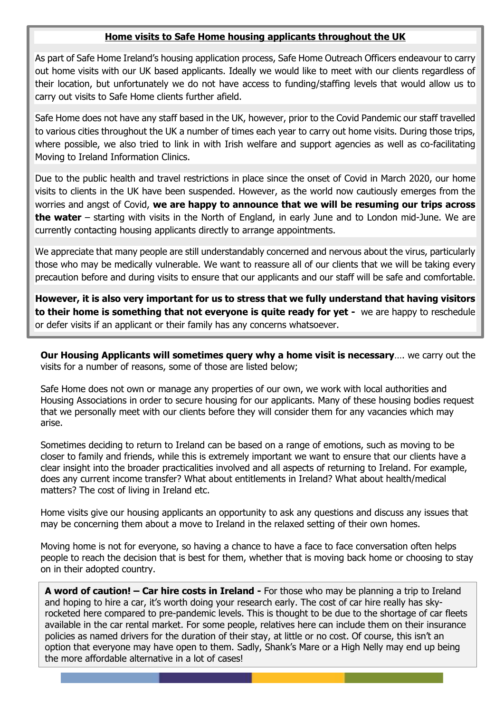#### **Home visits to Safe Home housing applicants throughout the UK**

As part of Safe Home Ireland's housing application process, Safe Home Outreach Officers endeavour to carry out home visits with our UK based applicants. Ideally we would like to meet with our clients regardless of their location, but unfortunately we do not have access to funding/staffing levels that would allow us to carry out visits to Safe Home clients further afield.

Safe Home does not have any staff based in the UK, however, prior to the Covid Pandemic our staff travelled to various cities throughout the UK a number of times each year to carry out home visits. During those trips, where possible, we also tried to link in with Irish welfare and support agencies as well as co-facilitating Moving to Ireland Information Clinics.

Due to the public health and travel restrictions in place since the onset of Covid in March 2020, our home visits to clients in the UK have been suspended. However, as the world now cautiously emerges from the worries and angst of Covid, **we are happy to announce that we will be resuming our trips across the water** – starting with visits in the North of England, in early June and to London mid-June. We are currently contacting housing applicants directly to arrange appointments.

We appreciate that many people are still understandably concerned and nervous about the virus, particularly those who may be medically vulnerable. We want to reassure all of our clients that we will be taking every precaution before and during visits to ensure that our applicants and our staff will be safe and comfortable.

**However, it is also very important for us to stress that we fully understand that having visitors to their home is something that not everyone is quite ready for yet -** we are happy to reschedule or defer visits if an applicant or their family has any concerns whatsoever.

**Our Housing Applicants will sometimes query why a home visit is necessary**…. we carry out the visits for a number of reasons, some of those are listed below;

Safe Home does not own or manage any properties of our own, we work with local authorities and Housing Associations in order to secure housing for our applicants. Many of these housing bodies request that we personally meet with our clients before they will consider them for any vacancies which may arise.

Sometimes deciding to return to Ireland can be based on a range of emotions, such as moving to be closer to family and friends, while this is extremely important we want to ensure that our clients have a clear insight into the broader practicalities involved and all aspects of returning to Ireland. For example, does any current income transfer? What about entitlements in Ireland? What about health/medical matters? The cost of living in Ireland etc.

Home visits give our housing applicants an opportunity to ask any questions and discuss any issues that may be concerning them about a move to Ireland in the relaxed setting of their own homes.

Moving home is not for everyone, so having a chance to have a face to face conversation often helps people to reach the decision that is best for them, whether that is moving back home or choosing to stay on in their adopted country.

**A word of caution! – Car hire costs in Ireland -** For those who may be planning a trip to Ireland and hoping to hire a car, it's worth doing your research early. The cost of car hire really has skyrocketed here compared to pre-pandemic levels. This is thought to be due to the shortage of car fleets available in the car rental market. For some people, relatives here can include them on their insurance policies as named drivers for the duration of their stay, at little or no cost. Of course, this isn't an option that everyone may have open to them. Sadly, Shank's Mare or a High Nelly may end up being the more affordable alternative in a lot of cases!